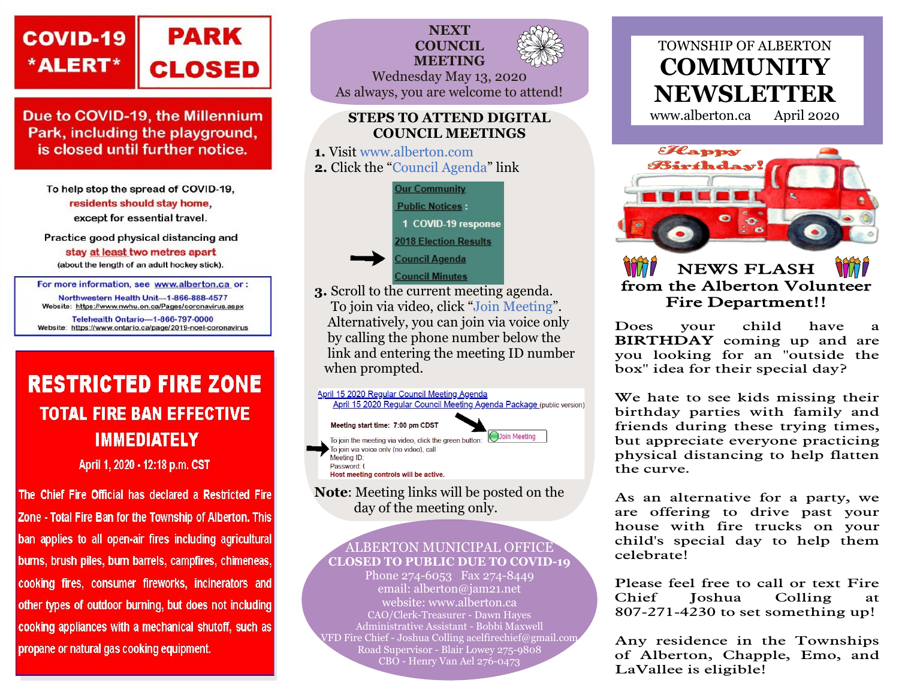

Due to COVID-19, the Millennium Park, including the playground, is closed until further notice.

To help stop the spread of COVID-19, residents should stay home. except for essential travel.

Practice good physical distancing and

stay at least two metres apart

(about the length of an adult hockey stick).

For more information, see www.alberton.ca or:

Northwestern Health Unit-1-866-888-4577 Website: https://www.nwhu.on.ca/Pages/coronavirus.aspx Telehealth Ontario-1-866-797-0000 Website: https://www.ontario.ca/page/2019-noel-coronavirus

# **RESTRICTED FIRE ZONE TOTAL FIRE BAN EFFECTIVE IMMEDIATELY**

April 1, 2020 - 12:18 p.m. CST

The Chief Fire Official has declared a Restricted Fire Zone - Total Fire Ban for the Township of Alberton. This ban applies to all open-air fires including agricultural burns, brush piles, burn barrels, campfires, chimeneas, cooking fires, consumer fireworks, incinerators and other types of outdoor burning, but does not including cooking appliances with a mechanical shutoff, such as propane or natural gas cooking equipment.



### STEPS TO ATTEND DIGITAL COUNCIL MEETINGS

1. Visit www.alberton.com 2. Click the "Council Agenda" link



3. Scroll to the current meeting agenda. To join via video, click "Join Meeting". Alternatively, you can join via voice only by calling the phone number below the link and entering the meeting ID number when prompted.



day of the meeting only.

### ALBERTON MUNICIPAL OFFICE CLOSED TO PUBLIC DUE TO COVID-19

Phone 274-6053 Fax 274-8449 email: alberton@jam21.net website: www.alberton.ca CAO/Clerk-Treasurer - Dawn Hayes Administrative Assistant - Bobbi Maxwell VFD Fire Chief - Joshua Colling acelfirechief@gmail.com Road Supervisor - Blair Lowey 275-9808 CBO - Henry Van Ael 276-0473

# TOWNSHIP OF ALBERTON **COMMUNITY** NEWSLETTER

www.alberton.ca April 2020





### NEWS FLASH from the Alberton Volunteer Fire Department!!

Does your child have a BIRTHDAY coming up and are you looking for an "outside the box" idea for their special day?

We hate to see kids missing their birthday parties with family and friends during these trying times, but appreciate everyone practicing physical distancing to help flatten the curve.

As an alternative for a party, we are offering to drive past your house with fire trucks on your child's special day to help them celebrate!

Please feel free to call or text Fire Chief Joshua Colling at 807-271-4230 to set something up!

Any residence in the Townships of Alberton, Chapple, Emo, and LaVallee is eligible!